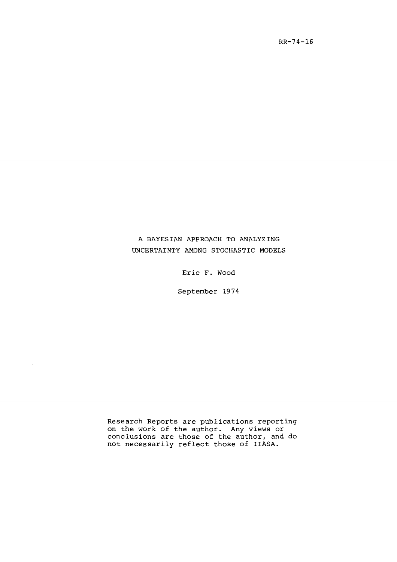# A BAYESIAN APPROACH TO ANALYZING UNCERTAINTY AMONG STOCHASTIC MODELS

Eric **F.** Wood

September 1974

Research Reports are publications reporting on the work of the author. Any views or conclusions are those of the author, and do not necessarily reflect those of IIASA.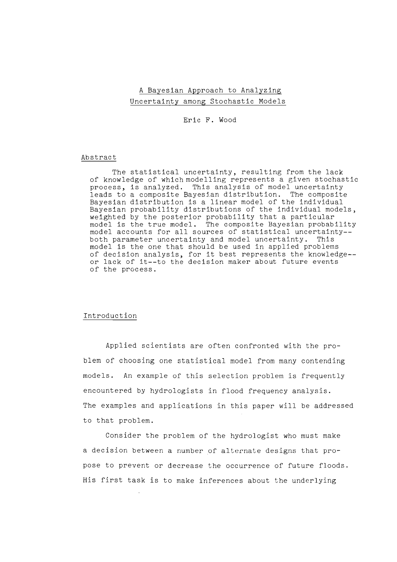## A Bayesian Approach to Analyzing Uncertainty among Stochastic Models

Eric F. Wood

#### Abstract

The statistical uncertainty, resulting from the lack of knowledge of which modelling represents a given stochastic process, is analyzed. This analysis of model uncertainty leads to a composite Bayesjan distribution. The composite Bayesian distribution is a linear model of the individual Bayesian probability distributions of the individual models, weighted by the posterior probability that a particular model is the true model. The composite Bayesian probability model accounts for all sources of statistical uncertainty- both parameter uncertainty and model uncertainty. This model is the one that should be used in applied problems of decision analysis, for it best represents the knowledge- or lack of it--to the decision maker about future events of the process.

#### Introduction

Applied scientists are often confronted with the problem of choosing one statistical model from many contending models. An example of this selection problem is frequently encountered by hydrologists in flood frequency analysis. The examples and applications in this paper will be addressed to that problem.

Consider the problem of the hydrologist who must make a decision between a number of alternate designs that propose to prevent or decrease the occurrence of future floods. His first task is to make inferences about the underlying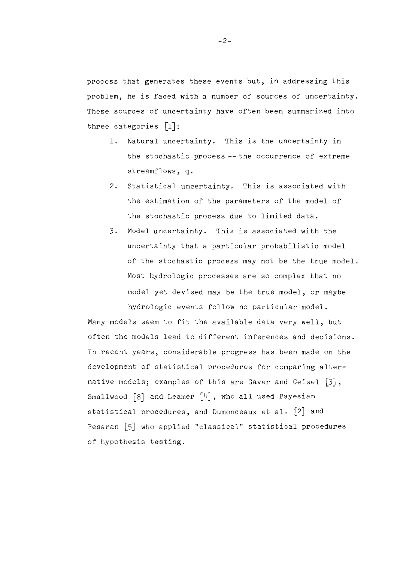process that generates these events but, in addressing this problem, he is faced with a number of sources of uncertainty. These sources of uncertainty have often been summarized into three categories  $\lceil 1 \rceil$ :

- 1. Natural uncertainty. This is the uncertainty in the stochastic process --the occurrence of extreme streamflows, q.
- 2. Statistical uncertainty. This is associated with the estimation of the parameters of the model of the stochastic process due to limited data.
- 3. Model uncertainty. This is associated with the uncertainty that a particular probabilistic model of the stochastic process may not be the true model. Most hydrologic processes are so complex that no model yet devised may be the true model, or maybe hydrologic events follow no particular model.
- Many models seem to fit the available data very well, but often the models lead to different inferences and decisions. In recent years, considerable progress has been made on the development of statistical procedures for comparing alternative models; examples of this are Gaver and Geisel [3], Smallwood  $\lceil 8 \rceil$  and Leamer  $\lceil 4 \rceil$ , who all used Bayesian statistical procedures, and Dumonceaux et al.  $\{2\}$  and Pesaran [5] who applied "classical" statistical procedures of hypothesis testing.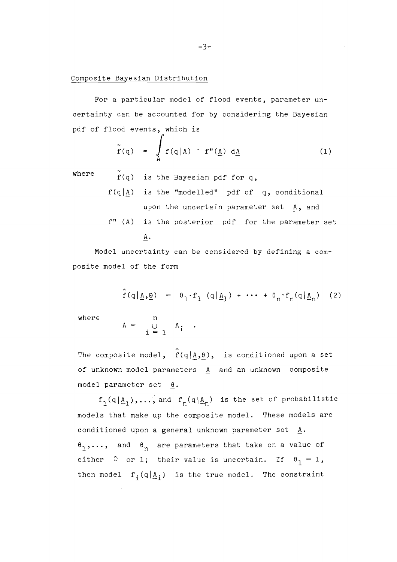### Composite Bayesian Distribution

For a particular model of flood events, parameter uncertainty can be accounted for by considering the Bayesian pdf of flood events, which is

$$
\tilde{f}(q) = \int_{A} f(q|A) \cdot f''(\underline{A}) d\underline{A}
$$
 (1)

where

- f(q) is the Bayesian pdf for **q,**
- $f(q|A)$  is the "modelled" pdf of q, conditional upon the uncertain parameter set A, and f" (A) is the posterior pdf for the parameter set  $A$ .

Model uncertainty can be considered by defining a composite model of the form

$$
\hat{\mathbf{r}}(q|\underline{\mathbf{A}},\underline{\mathbf{0}}) = \theta_1 \cdot \mathbf{f}_1 (q|\underline{\mathbf{A}}_1) + \cdots + \theta_n \cdot \mathbf{f}_n (q|\underline{\mathbf{A}}_n)
$$
 (2)

where

 $\mathbf{A}$ 

$$
= \bigcup_{i=1}^{n} A_i .
$$

The composite model,  $\hat{f}(q|\mathbf{A},\theta)$ , is conditioned upon a set of unknown model parameters A and an unknown composite model parameter set  $\theta$ .

 $f_1(q|\underline{A}_1),...,$  and  $f_n(q|\underline{A}_n)$  is the set of probabilistic models that make up the composite model. These models are conditioned upon a general unknown parameter set A.  $\theta_1, \ldots$ , and  $\theta_n$  are parameters that take on a value of either 0 or 1; their value is uncertain. If  $\theta_1 = 1$ , then model  $f_i(q|\underline{A}_i)$  is the true model. The constraint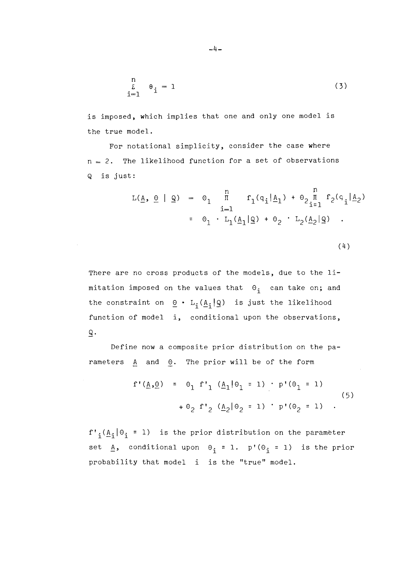$$
\begin{array}{cc}\nn & \text{if } \\
\bar{L} & \theta_i = 1 \\
i = 1\n\end{array}
$$
\n(3)

is imposed, which implies that one and only one model is the true model.

For notational simplicity, consider the case where  $n = 2$ . The likelihood function for a set of observations Q is just:

$$
L(\underline{A}, \underline{\Theta} | \underline{\mathbf{Q}}) = \Theta_1 \prod_{i=1}^{n} f_1(q_i | \underline{A}_1) + \Theta_2 \prod_{i=1}^{n} f_2(q_i | \underline{A}_2)
$$
  
=  $\Theta_1 \cdot L_1(\underline{A}_1 | \underline{\mathbf{Q}}) + \Theta_2 \cdot L_2(\underline{A}_2 | \underline{\mathbf{Q}})$ .

$$
(4)
$$

There are no cross products of the models, due to the limitation imposed on the values that  $\Theta_i$  can take on; and the constraint on  $\underline{\Theta}$  · L<sub>i</sub>( $\underline{A}_1|\underline{Q}$ ) is just the likelihood function of model i, conditional upon the observations,  $\mathsf Q$  .

Define now a composite prior distribution on the parameters  $A$  and  $\Theta$ . The prior will be of the form

$$
f'(\underline{A}, \underline{\theta}) = \theta_1 f'_1 (\underline{A}_1 | \theta_1 = 1) \cdot p'(\theta_1 = 1)
$$
  
+  $\theta_2 f'_2 (\underline{A}_2 | \theta_2 = 1) \cdot p'(\theta_2 = 1)$  (5)

 $f'_{i}(\underline{A}_{i}|\theta_{i} = 1)$  is the prior distribution on the parameter set  $\underline{A}$ , conditional upon  $\Theta_i = 1$ . p'( $\Theta_i = 1$ ) is the prior probability that model i is the "true" model.

 $-4-$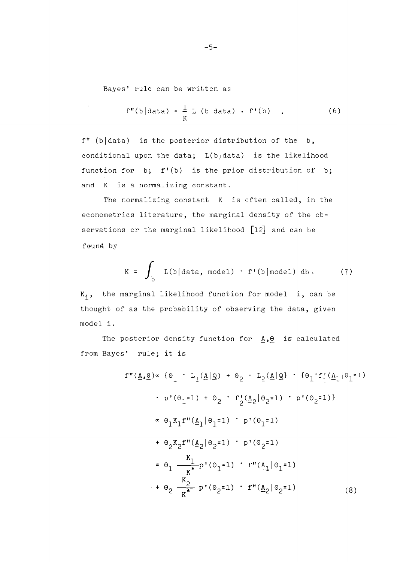Bayes' rule can be written as

$$
f''(b|data) = \frac{1}{K} L (b|data) \cdot f'(b) . \qquad (6)
$$

 $f''$  (b data) is the posterior distribution of the b, conditional upon the data;  $L(b|data)$  is the likelihood function for b; f'(b) is the prior distribution of b; and K is a normalizing constant.

The normalizing constant K is often called, in the econometrics literature, the marginal density of the observations or the marginal likelihood [12] and can be found by

$$
K = \int_{b} L(b|data, model) \cdot f'(b|model) db. \qquad (7)
$$

 $K_i$ , the marginal likelihood function for model i, can be thought of as the probability of observing the data, given model i.

The posterior density function for  $A$ , $\theta$  is calculated from Bayes' rule; it is

$$
f''(\underline{A}, \underline{\Theta}) \propto \{\theta_1 \cdot L_1(\underline{A}|\underline{\mathbb{Q}}) + \theta_2 \cdot L_2(\underline{A}|\underline{\mathbb{Q}}) \cdot \{\theta_1 \cdot f'_1(\underline{A}_1|\theta_1=1) \}
$$
\n
$$
\cdot p'(\theta_1=1) + \theta_2 \cdot f'_2(\underline{A}_2|\theta_2=1) \cdot p'(\theta_2=1)
$$
\n
$$
\propto \theta_1 K_1 f''(\underline{A}_1|\theta_1=1) \cdot p'(\theta_1=1)
$$
\n
$$
+ \theta_2 K_2 f''(\underline{A}_2|\theta_2=1) \cdot p'(\theta_2=1)
$$
\n
$$
= \theta_1 \frac{K_1}{K^*} p'(\theta_1=1) \cdot f''(\underline{A}_1|\theta_1=1)
$$
\n
$$
+ \theta_2 \frac{K_2}{K^*} p'(\theta_2=1) \cdot f''(\underline{A}_2|\theta_2=1) \qquad (8)
$$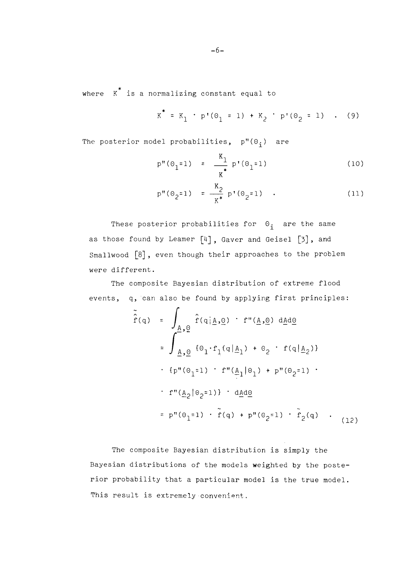where  $K^*$  is a normalizing constant equal to

$$
K^* = K_1 \cdot p'(\theta_1 = 1) + K_2 \cdot p'(\theta_2 = 1) \quad . \quad (9)
$$

The posterior model probabilities,  $p''(\theta_i)$  are

$$
p''(\Theta_1 = 1) = \frac{K_1}{K^*} p'(\Theta_1 = 1)
$$
 (10)

$$
p''(\Theta_2=1) = \frac{K_2}{K^*} p'(\Theta_2=1) .
$$
 (11)

These posterior probabilities for  $\Theta_i$  are the same as those found by Leamer [4], Gaver and Geisel [3], and Smallwood [8], even though their approaches to the problem were different.

The composite Bayesian distribution of extreme flood events, q, can also be found by applying first principles:

$$
\tilde{f}(q) = \int_{\underline{A}, \underline{\theta}} \hat{f}(q | \underline{A}, \underline{\theta}) \cdot f''(\underline{A}, \underline{\theta}) d\underline{A}d\underline{\theta}
$$
\n
$$
= \int_{\underline{A}, \underline{\theta}} \{ \theta_1 \cdot f_1(q | \underline{A}_1) + \theta_2 \cdot f(q | \underline{A}_2) \}
$$
\n
$$
\cdot \{ p''(\theta_1 = 1) \cdot f''(\underline{A}_1 | \theta_1) + p''(\theta_2 = 1) \cdot f''(\underline{A}_2 | \theta_2 = 1) \} \cdot d\underline{A}d\underline{\theta}
$$
\n
$$
= p''(\theta_1 = 1) \cdot \tilde{f}(q) + p''(\theta_2 = 1) \cdot \tilde{f}_2(q) \cdot (12)
$$

The composite Bayesian distribution is simply the Bayesian distributions of the models weighted by the posterior probability that a particular model is the true model. This result is extremely convenient.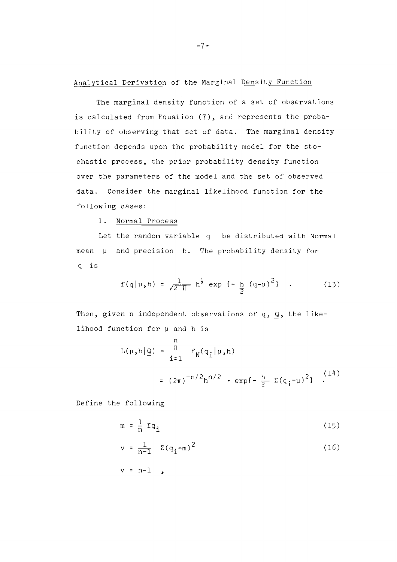### Analytical Derivation of the Marginal Density Function

The marginal density function of a set of observations is calculated from Equation (7), and represents the probability of observing that set of data. The marginal density function depends upon the probability model for the stochastic process, the prior probability density function over the parameters of the model and the set of observed data. Consider the marginal likelihood function for the following cases:

1. Normal Process

Let the random variable q be distributed with Normal mean  $\mu$  and precision h. The probability density for q is

$$
f(q|\mu, h) = \frac{1}{\sqrt{2} \pi} h^{\frac{1}{2}} \exp \{-\frac{h}{2} (q-\mu)^2\}
$$
 (13)

Then, given n independent observations of q,  $Q$ , the likelihood function for µ and h is

$$
L(\mu, h | \mathbf{Q}) = \prod_{i=1}^{n} f_N(q_i | \mu, h)
$$
  
=  $(2\pi)^{-n/2} h^{n/2} \cdot \exp\{-\frac{h}{2} \Sigma(q_i - \mu)^2\}$  (14)

Define the following

$$
m = \frac{1}{n} \Sigma q_i \tag{15}
$$

$$
v = \frac{1}{n-1} \quad \Sigma (q_i - m)^2 \tag{16}
$$

$$
v = n-1 \quad \bullet
$$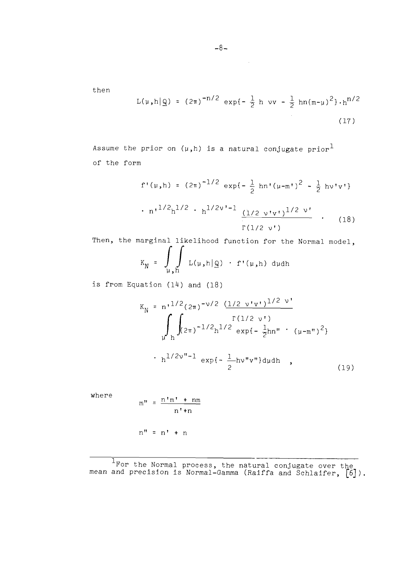then

$$
L(\mu, h | \mathbf{Q}) = (2\pi)^{-n/2} \exp\{-\frac{1}{2} h \text{ vv} - \frac{1}{2} h n (m - \mu)^2\} \cdot h^{n/2}
$$
\n(17)

Assume the prior on  $(\mu,h)$  is a natural conjugate prior<sup>1</sup> of the form

$$
f'(\mu, h) = (2\pi)^{-1/2} \exp\{-\frac{1}{2} h n'(\mu - m')^2 - \frac{1}{2} h v' v'\}
$$
  
. 
$$
n!^{1/2} h^{1/2} \cdot h^{1/2v'-1} \underbrace{(1/2 v' v')^{1/2 v'}}_{\Gamma(1/2 v')}
$$
 (18)

Then, the marginal likelihood function for the Normal model,  $K_N = \int\limits_{\mu,h}$  L( $\mu,h|\mathcal{Q}$ ) · f'( $\mu,h$ ) dudh

is from Equation (14) and (18)

$$
K_{N} = n^{1/2} (2\pi)^{-\nu/2} \frac{(1/2 \nu' \nu')^{1/2 \nu'}}{\Gamma(1/2 \nu')}
$$
  

$$
\int_{\mu} \int_{h}^{2\pi} (2\pi)^{-1/2} h^{1/2} \exp\{-\frac{1}{2}hn'' \cdot (\mu - m'')^{2}\}
$$
  

$$
\int_{h}^{1/2\nu''-1} \exp\{-\frac{1}{2}hv''v''\} d\mu dh
$$
 (19)

where

$$
m'' = \frac{n'm' + nm}{n'+n}
$$

 $n'' = n' + n$ 

'For the Normal process, the natural conjugate over the ean and precision is Normal-Gamma (Raiffa and Schlaifer,  $\left[\begin{smallmatrix} 6 \end{smallmatrix}\right]$ ).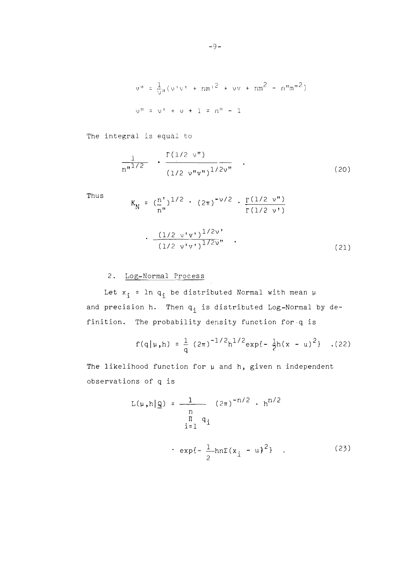$$
v'' = \frac{1}{\sqrt{u}} (v'v' + nm'^2 + vv + nm^2 - n''m''^2)
$$
  

$$
v'' = v' + v + 1 = n'' + 1
$$

The integral is equal to

$$
\frac{1}{n^{n^{1/2}}} \cdot \frac{\Gamma(1/2 \nu^{n})}{(1/2 \nu^{n} \nu^{n})^{1/2\nu^{n}}} \quad . \tag{20}
$$

Thus  
\n
$$
K_N = \left(\frac{n}{n''}\right)^{1/2} \cdot (2\pi)^{-\nu/2} \cdot \frac{\Gamma(1/2 \nu'')}{\Gamma(1/2 \nu')}
$$
\n
$$
\cdot \frac{(1/2 \nu' \nu')^{1/2\nu'}}{(1/2 \nu' \nu')^{1/2\nu''}} \quad .
$$
\n(21)

## 2. Log-Normal Process

Let  $x_i$  = 1n  $q_i$  be distributed Normal with mean  $\mu$ and precision h. Then  $q_i$  is distributed Log-Normal by definition. The probability density function for q is

$$
f(q|\mu,h) = \frac{1}{q} (2\pi)^{-1/2} h^{1/2} exp{-\frac{1}{2}h(x - u)^2} \quad . (22)
$$

The likelihood function for **p** and h, given n independent observations of q is

$$
L(\mu, h | \mathbf{Q}) = \frac{1}{n} (2\pi)^{-n/2} \cdot h^{n/2}
$$
  
\n
$$
\prod_{i=1}^{n} q_i
$$
  
\n
$$
\cdot \exp\{-\frac{1}{2}h n\Sigma(x_i - u)^2\} \quad . \tag{23}
$$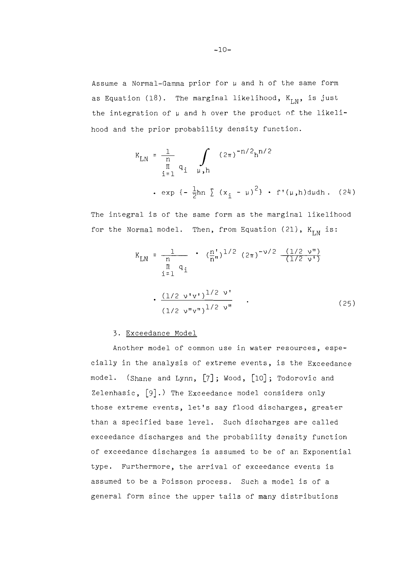Assume a Normal-Gamma prior for  $\mu$  and h of the same form as Equation (18). The marginal likelihood,  $K_{LM}$ , is just the integration of  $\mu$  and h over the product of the likelihood and the prior probability density function.

$$
K_{LN} = \frac{1}{\prod_{i=1}^{n} q_i} \int_{\mu, h} (2\pi)^{-n/2} h^{n/2}
$$
  
  $\cdot$  exp  $\{-\frac{1}{2}hn \sum (x_i - \mu)^2\} \cdot f'(\mu, h) d\mu dh$ . (24)

The integral is of the same form as the marginal likelihood for the Normal model. Then, from Equation (21), K<sub>r N</sub> is:

and is of the same form as the marginal likelihood

\nremal model. Then, from Equation (21), 
$$
K_{LN}
$$
 is:

\n
$$
K_{LN} = \frac{1}{n} \cdot (\frac{n}{n^n})^{1/2} (2\pi)^{-\nu/2} \frac{(1/2 \nu^n)}{(1/2 \nu^n)}
$$
\n
$$
\frac{1}{1} \cdot 1
$$
\n
$$
\cdot \frac{(1/2 \nu^n v^n)^{1/2 \nu^n}}{(1/2 \nu^n v^n)^{1/2 \nu^n}}.
$$
\n(25)

### 3. Exceedance Model

Another model of common use in water resources, especially in the analysis of extreme events, is the Exceedance model. (Shane and Lynn, [7]; Wood, [10]; Todorovic and Zelenhasic,  $[9]$ .) The Exceedance model considers only those extreme events, let's say flood discharges, greater than a specified base level. Such discharges are called exceedance discharges and the probability density function of exceedance discharges is assumed to be of an Exponential type. Furthermore, the arrival of exceedance events is assumed to be a Poisson process. Such a model is of a general form since the upper tails of many distributions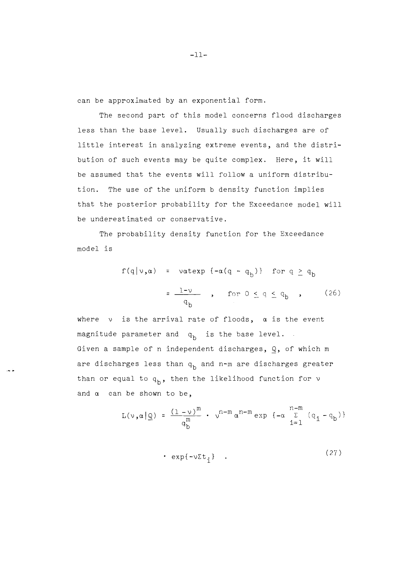can be approximated by an exponential form.

The second part of this model concerns flood discharges less than the base level. Usually such discharges are of little interest in analyzing extreme events, and the distribution of such events may be quite complex. Here, it will be assumed that the events will follow a uniform distribution. The use of the uniform b density function implies that the posterior probability for the Exceedance model will be underestimated or conservative.

The probability density function for the Exceedance model is

$$
f(q|v,a) = \text{vatexp } \{-\alpha(q - q_b)\} \text{ for } q \ge q_b
$$

$$
= \frac{1-v}{q_b} \text{, for } 0 \le q \le q_b \text{ (26)}
$$

where  $v$  is the arrival rate of floods,  $\alpha$  is the event magnitude parameter and  $q_b$  is the base level. Given a sample of n independent discharges, Q, of which m are discharges less than  $q_b$  and n-m are discharges greater than or equal to  $q_h$ , then the likelihood function for  $\nu$ and  $\alpha$  can be shown to be,

$$
L(\nu, \alpha | \underline{\mathbb{Q}}) = \frac{(1 - \nu)^m}{q_b^m} \cdot \nu^{n - m} \alpha^{n - m} \exp \{-\alpha \sum_{i=1}^{n - m} (q_i - q_b)\}
$$

$$
\exp\{-\nu \Sigma t, \} \quad . \tag{27}
$$

 $-11-$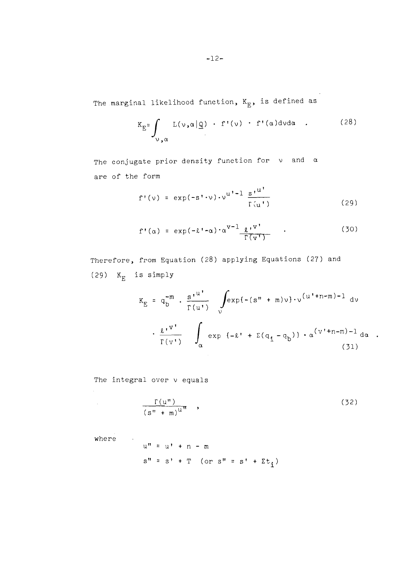The marginal likelihood function,  $K_{E}$ , is defined as

$$
K_{E} = \int_{\nu_{,\alpha}} L(\nu, \alpha | \underline{\mathbb{Q}}) \cdot f'(\nu) \cdot f'(\alpha) d\nu d\alpha \qquad (28)
$$

The conjugate prior density function for  $v$  and  $\alpha$ are of the form

$$
f'(\nu) = \exp(-s'\cdot \nu) \cdot \nu^{u'-1} \frac{s'^{u'}}{\Gamma(u')}
$$
 (29)

$$
f'(\alpha) = \exp(-\ell' \cdot \alpha) \cdot \alpha^{V-1} \frac{\ell^{V}}{\Gamma(\nu^{V})}
$$
 (30)

Therefore, from Equation (28) applying Equations (27) and (29)  $K_E$  is simply

$$
K_{E} = q_{b}^{-m} \cdot \frac{s^{\prime u'}}{r(u')}
$$

$$
\int_{\alpha} exp\{- (s^{m} + m)v\} \cdot v^{(u' + n - m) - 1} dv
$$

$$
\cdot \frac{\ell^{\prime v'}}{r(v')}
$$

$$
\int_{\alpha} exp\{-\ell^{\prime} + \Sigma(q_{1} - q_{b})\} \cdot \alpha^{(v' + n - m) - 1} d\alpha
$$
(31)

 $\bullet$ 

The integral over  $\nu$  equals

$$
\frac{\Gamma(u'')}{(s'' + m)^{u''}} \quad , \tag{32}
$$

where .

 $\sim 10^{-1}$ 

$$
u'' = u' + n - m
$$
  
s'' = s' + T (or s'' = s' + \Sigma t<sub>i</sub>)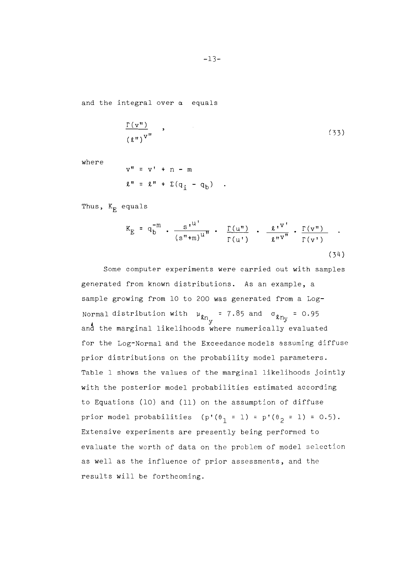and the integral over **a** equals

$$
\frac{\Gamma(\mathbf{v}^{\mathbf{v}})}{(\ell^{\mathbf{v}})^{\mathbf{v}^{\mathbf{u}}}} \tag{33}
$$

where

$$
v'' = v' + n - m
$$
  

$$
\ell'' = \ell'' + \Sigma(q_i - q_b)
$$

Thus,  $K_{\overline{E}}$  equals

$$
K_{E} = q_{b}^{-m} \cdot \frac{s^{\mu}}{(s^{\mu}+m)^{u^{\mu}}} \cdot \frac{\Gamma(u^{\mu})}{\Gamma(u^{\mu})} \cdot \frac{\ell^{\nu}}{s^{\mu}v^{\mu}} \cdot \frac{\Gamma(v^{\mu})}{\Gamma(v^{\mu})} \quad .
$$
\n(34)

Some computer experiments were carried out with samples generated from known distributions. As an example, a sample growing from 10 to 200 was generated from a Log-Normal distribution with  $\mu_{\ell n_{V}}$  = 7.85 and  $\sigma_{\ell n_{V}}$  = 0.95 and the marginal likelihoods where numerically evaluated for the Log-Normal and the Exceedance models assuming diffuse prior distributions on the probability model parameters. Table 1 shows the values of the marginal likelihoods jointly with the posterior model probabilities estimated according to Equations (10) and (11) on the assumption of diffuse prior model probabilities (p'( $\theta_1 = 1$ ) = p'( $\theta_2 = 1$ ) = 0.5). Extensive experiments are presently being performed to evaluate the worth of data on the problem of model selection as well as the influence of prior assessments, and the results will be forthcoming.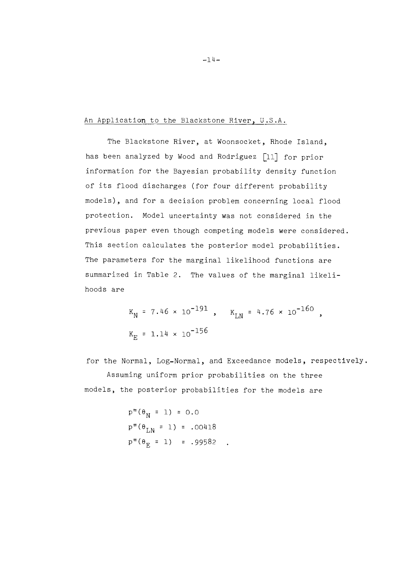### An Application to the Blackstone River, U.S.A.

The Blackstone River, at Woonsocket, Rhode Island, has been analyzed by Wood and Rodriguez [11] for prior information for the Bayesian probability density function of its flood discharges (for four different probability models), and for a decision problem concerning local flood protection. Model uncertainty was not considered in the previous paper even though competing models were considered. This section calculates the posterior model probabilities. The parameters for the marginal likelihood functions are summarized in Table 2. The values of the marginal likelihoods are

> $K_N = 7.46 \times 10^{-191}$ ,  $K_{LN} = 4.76 \times 10^{-160}$  $K_{rr} = 1.14 \times 10^{-156}$

for the Normal, Log-Normal, and Exceedance models, respectively. Assuming uniform prior probabilities on the three

models, the posterior probabilities for the models are

 $p''(\theta_M = 1) = 0.0$  $p''(\theta_{LN} = 1) = .00418$  $p''(\theta_F = 1) = .99582$ .

 $-14-$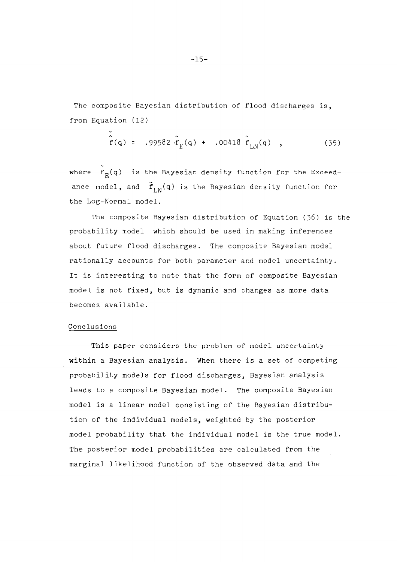The composite Bayesian distribution of flood discharges is, from Equation (12)

$$
\hat{r}(q) = .99582 \cdot \tilde{r}_E(q) + .00418 \cdot \tilde{r}_{LN}(q)
$$
 (35)

 where  $\mathbf{f}_{\mathbf{F}}(\mathbf{q})$  is the Bayesian density function for the Exceedance model, and  $\tilde{f}_{LM}(q)$  is the Bayesian density function for the Log-Normal model.

The composite Bayesian distribution of Equation (36) is the probability model which should be used in making inferences about future flood discharges. The composite Bayesian model rationally accounts for both parameter and model uncertainty. It is interesting to note that the form of composite Bayesian model is not fixed, but is dynamic and changes as more data becomes available.

#### Conclusions

This paper considers the problem of model uncertainty within a Bayesian analysis. When there is a set of competing probability models for flood discharges, Bayesian analysis leads to a composite Bayesian model. The composite Bayesian model is a linear model consisting of the Bayesian distribution of the individual models, weighted by the posterior model probability that the individual model is the true model The posterior model probabilities are calculated from the marginal likelihood function of the observed data and the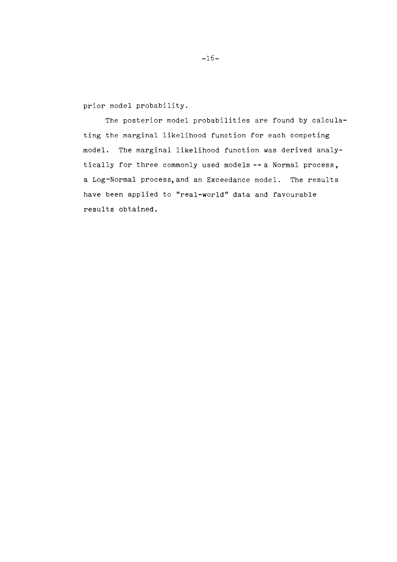prior model probability.

The posterior model probabilities are found by calculating the marginal likelihood function for each competing model. The marginal likelihood function was derived analytically for three commonly used models -- a Normal process, a Log-Normal process,and an Exceedance model. The results have been applied to "real-world" data and favourable results obtained.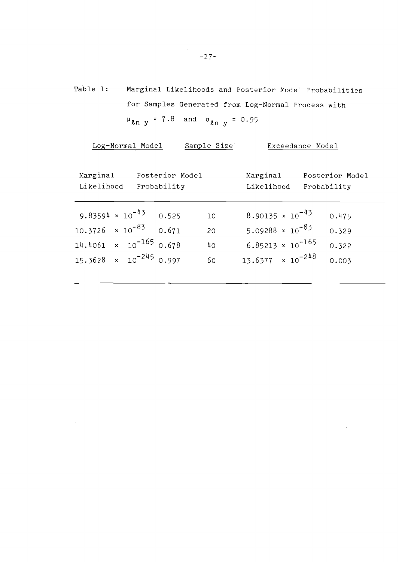Table 1: Marginal Likelihoods and Posterior Model Probabilities for Samples Generated from Log-Normal Process with  $\mu_{\text{ln }y}$  = 7.8 and  $\sigma_{\text{ln }y}$  = 0.95

| Posterior Model |
|-----------------|
|                 |
|                 |
|                 |
|                 |
|                 |

 $\sim$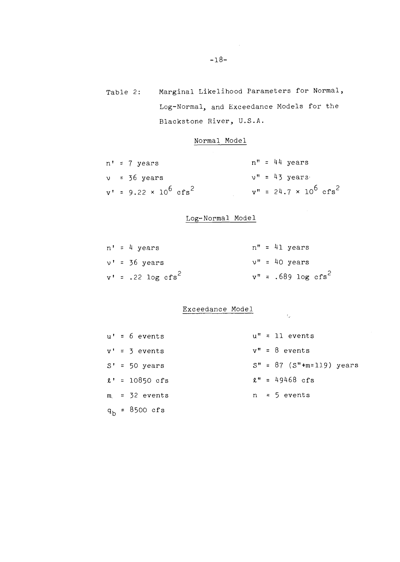Table 2: Marginal Likelihood Parameters for Normal, Log-Normal, and Exceedance Models for the Blackstone River, U.S.A.

### Normal Model

|  | $n' = 7$ years                        |  | $n'' = 44$ years                       |
|--|---------------------------------------|--|----------------------------------------|
|  | $v = 36$ years                        |  | $v'' = 43$ years                       |
|  | $v' = 9.22 \times 10^6 \text{ cfs}^2$ |  | $v'' = 24.7 \times 10^6 \text{ cfs}^2$ |

# Log-Normal Model

|  | $n' = 4 \text{ years}$ |  | $n'' = 41$ years        |
|--|------------------------|--|-------------------------|
|  | $v'$ = 36 years        |  | $v'' = 40$ years        |
|  | $v' = .22 \log cfs^2$  |  | $v'' = .689 \log cfs^2$ |

### Exceedance Model

|  | $u' = 6$ events          |  | $u'' = 11$ events                |
|--|--------------------------|--|----------------------------------|
|  | $v' = 3$ events          |  | $v'' = 8$ events                 |
|  | $S' = 50 \text{ years}$  |  | $S'' = 87$ ( $S''+m=119$ ) years |
|  | $\ell' = 10850$ cfs      |  | $\ell'' = 49468$ cfs             |
|  | $m = 32$ events          |  | $n = 5$ events                   |
|  | $q_h = 8500 \text{ cfs}$ |  |                                  |

 $\bar{\psi}_2$ 

 $\sim 10$